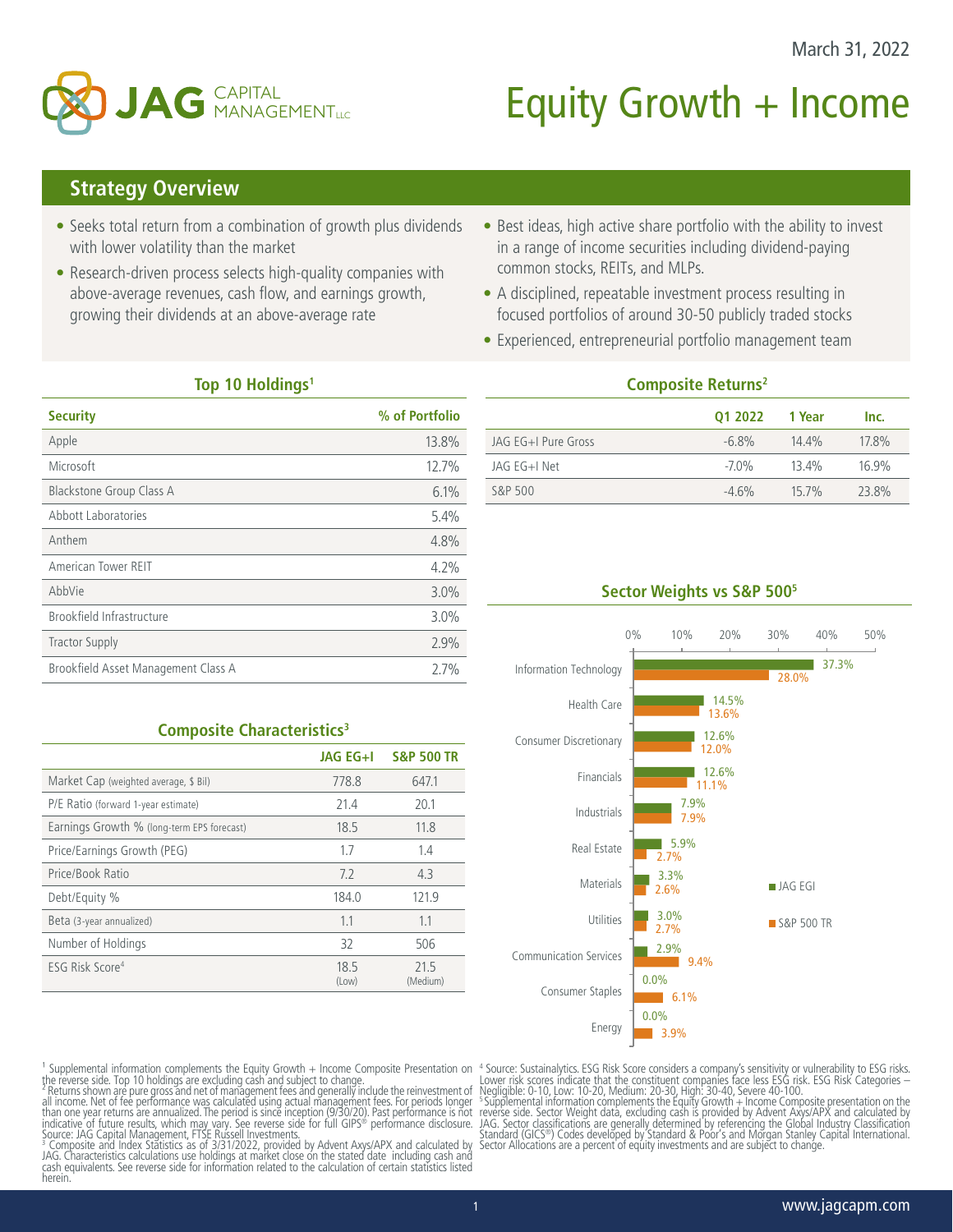

# Equity Growth  $+$  Income

## **Strategy Overview**

- Seeks total return from a combination of growth plus dividends with lower volatility than the market
- Research-driven process selects high-quality companies with above-average revenues, cash flow, and earnings growth, growing their dividends at an above-average rate
- Best ideas, high active share portfolio with the ability to invest in a range of income securities including dividend-paying common stocks, REITs, and MLPs.
- A disciplined, repeatable investment process resulting in focused portfolios of around 30-50 publicly traded stocks
- Experienced, entrepreneurial portfolio management team

### **Top 10 Holdings1**

| <b>Security</b>                     | % of Portfolio |
|-------------------------------------|----------------|
| Apple                               | 13.8%          |
| Microsoft                           | 12.7%          |
| <b>Blackstone Group Class A</b>     | 6.1%           |
| Abbott Laboratories                 | 5.4%           |
| Anthem                              | 4.8%           |
| American Tower REIT                 | 4.2%           |
| AbbVie                              | $3.0\%$        |
| Brookfield Infrastructure           | 3.0%           |
| <b>Tractor Supply</b>               | 2.9%           |
| Brookfield Asset Management Class A | 2.7%           |

**Composite Characteristics<sup>3</sup>** 

Market Cap (weighted average, \$ Bil) 778.8 647.1 P/E Ratio (forward 1-year estimate) 21.4 20.1 Earnings Growth % (long-term EPS forecast) 18.5 11.8 Price/Earnings Growth (PEG) 1.7 1.4 Price/Book Ratio 4.3 Debt/Equity % 184.0 121.9 Beta (3-year annualized) 1.1 1.1 1.1 1.1 Number of Holdings 32 506

**JAG EG+I S&P 500 TR**

21.5 (Medium)

(Low)

## **Composite Returns2 Q1 2022 1 Year Inc.** JAG EG+I Pure Gross -6.8% 14.4% 17.8% JAG EG+I Net -7.0% 13.4% 16.9% S&P 500 **-4.6%** 15.7% 23.8%

## **Sector Weights vs S&P 5005**



<sup>1</sup> Supplemental information complements the Equity Growth + Income Composite Presentation on<br>the reverse side. Top 10 holdings are excluding cash and subject to change.

ESG Risk Score<sup>4</sup> 18.5

<sup>2</sup> Returns shown are pure gross and net of management fees and generally include the reinvestment of<br>all income. Net of fee performance was calculated using actual management fees. For periods longer<br>than one year returns

indicative´of future results, which may vary. See reverse side for full GIPS® performance disclosure.<br>Source: JAG Capital Management, FTSE Russell Investments.<br>ª Composite and Index Statistics as of 3/31/2022, provided by herein.

4 Source: Sustainalytics. ESG Risk Score considers a company's sensitivity or vulnerability to ESG risks. Lower risk scores indicate that the constituent companies face less ESG risk. ESG Risk Categories –

Negligible: 0-10, Low: 10-20, Medium: 20-30, High: 30-40, Severe 40-100.<br><sup>5</sup>Supplemental information complements the Equity Growth + Income Composite presentation on the<br>reverse side. Sector Weight data, excluding cash is